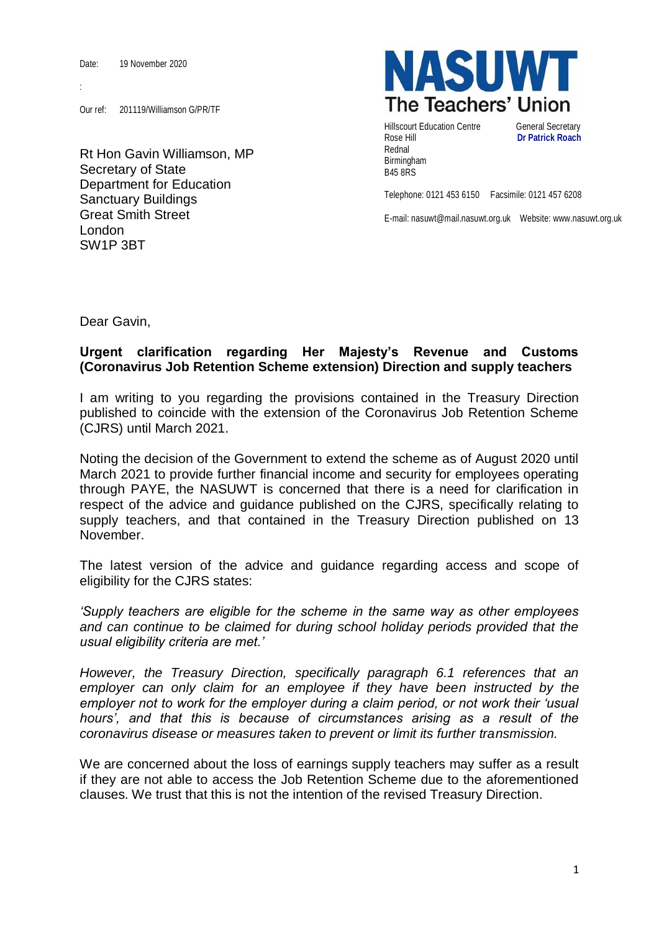Date: 19 November 2020

:

Our ref: 201119/Williamson G/PR/TF

Rt Hon Gavin Williamson, MP Secretary of State Department for Education Sanctuary Buildings Great Smith Street London SW1P 3BT



Hillscourt Education Centre **General Secretary** Rose Hill **Dr Patrick Roach** Rednal Birmingham B45 8RS

Telephone: 0121 453 6150 Facsimile: 0121 457 6208

E-mail: nasuwt@mail.nasuwt.org.uk Website: www.nasuwt.org.uk

Dear Gavin,

## **Urgent clarification regarding Her Majesty's Revenue and Customs (Coronavirus Job Retention Scheme extension) Direction and supply teachers**

I am writing to you regarding the provisions contained in the Treasury Direction published to coincide with the extension of the Coronavirus Job Retention Scheme (CJRS) until March 2021.

Noting the decision of the Government to extend the scheme as of August 2020 until March 2021 to provide further financial income and security for employees operating through PAYE, the NASUWT is concerned that there is a need for clarification in respect of the advice and guidance published on the CJRS, specifically relating to supply teachers, and that contained in the Treasury Direction published on 13 November.

The latest version of the advice and guidance regarding access and scope of eligibility for the CJRS states:

*'Supply teachers are eligible for the scheme in the same way as other employees and can continue to be claimed for during school holiday periods provided that the usual eligibility criteria are met.'*

*However, the Treasury Direction, specifically paragraph 6.1 references that an employer can only claim for an employee if they have been instructed by the employer not to work for the employer during a claim period, or not work their 'usual hours', and that this is because of circumstances arising as a result of the coronavirus disease or measures taken to prevent or limit its further transmission.*

We are concerned about the loss of earnings supply teachers may suffer as a result if they are not able to access the Job Retention Scheme due to the aforementioned clauses. We trust that this is not the intention of the revised Treasury Direction.